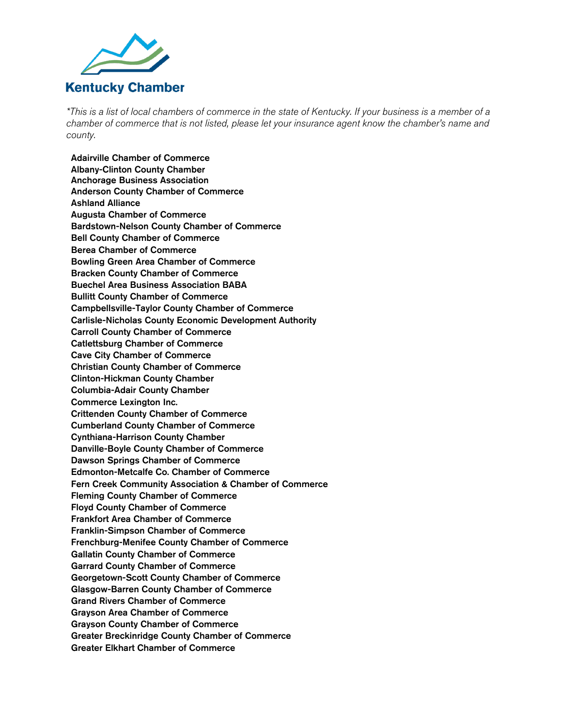

*\*This is a list of local chambers of commerce in the state of Kentucky. If your business is a member of a chamber of commerce that is not listed, please let your insurance agent know the chamber's name and county.* 

Adairville Chamber of Commerce Albany-Clinton County Chamber Anchorage Business Association Anderson County Chamber of Commerce Ashland Alliance Augusta Chamber of Commerce Bardstown-Nelson County Chamber of Commerce Bell County Chamber of Commerce Berea Chamber of Commerce Bowling Green Area Chamber of Commerce Bracken County Chamber of Commerce Buechel Area Business Association BABA Bullitt County Chamber of Commerce Campbellsville-Taylor County Chamber of Commerce Carlisle-Nicholas County Economic Development Authority Carroll County Chamber of Commerce Catlettsburg Chamber of Commerce Cave City Chamber of Commerce Christian County Chamber of Commerce Clinton-Hickman County Chamber Columbia-Adair County Chamber Commerce Lexington Inc. Crittenden County Chamber of Commerce Cumberland County Chamber of Commerce Cynthiana-Harrison County Chamber Danville-Boyle County Chamber of Commerce Dawson Springs Chamber of Commerce Edmonton-Metcalfe Co. Chamber of Commerce Fern Creek Community Association & Chamber of Commerce Fleming County Chamber of Commerce Floyd County Chamber of Commerce Frankfort Area Chamber of Commerce Franklin-Simpson Chamber of Commerce Frenchburg-Menifee County Chamber of Commerce Gallatin County Chamber of Commerce Garrard County Chamber of Commerce Georgetown-Scott County Chamber of Commerce Glasgow-Barren County Chamber of Commerce Grand Rivers Chamber of Commerce Grayson Area Chamber of Commerce Grayson County Chamber of Commerce Greater Breckinridge County Chamber of Commerce Greater Elkhart Chamber of Commerce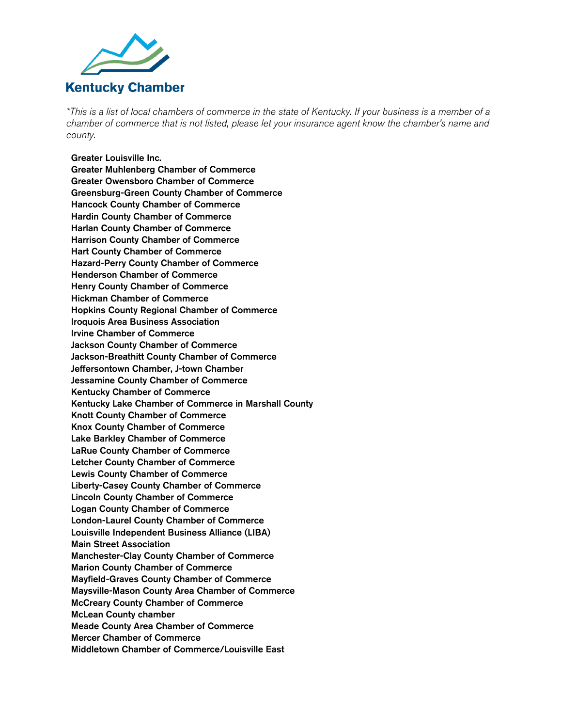

*\*This is a list of local chambers of commerce in the state of Kentucky. If your business is a member of a chamber of commerce that is not listed, please let your insurance agent know the chamber's name and county.* 

## Greater Louisville Inc.

Greater Muhlenberg Chamber of Commerce Greater Owensboro Chamber of Commerce Greensburg-Green County Chamber of Commerce Hancock County Chamber of Commerce Hardin County Chamber of Commerce Harlan County Chamber of Commerce Harrison County Chamber of Commerce Hart County Chamber of Commerce Hazard-Perry County Chamber of Commerce Henderson Chamber of Commerce Henry County Chamber of Commerce Hickman Chamber of Commerce Hopkins County Regional Chamber of Commerce Iroquois Area Business Association Irvine Chamber of Commerce Jackson County Chamber of Commerce Jackson-Breathitt County Chamber of Commerce Jeffersontown Chamber, J-town Chamber Jessamine County Chamber of Commerce Kentucky Chamber of Commerce Kentucky Lake Chamber of Commerce in Marshall County Knott County Chamber of Commerce Knox County Chamber of Commerce Lake Barkley Chamber of Commerce LaRue County Chamber of Commerce Letcher County Chamber of Commerce Lewis County Chamber of Commerce Liberty-Casey County Chamber of Commerce Lincoln County Chamber of Commerce Logan County Chamber of Commerce London-Laurel County Chamber of Commerce Louisville Independent Business Alliance (LIBA) Main Street Association Manchester-Clay County Chamber of Commerce Marion County Chamber of Commerce Mayfield-Graves County Chamber of Commerce Maysville-Mason County Area Chamber of Commerce McCreary County Chamber of Commerce McLean County chamber Meade County Area Chamber of Commerce Mercer Chamber of Commerce Middletown Chamber of Commerce/Louisville East